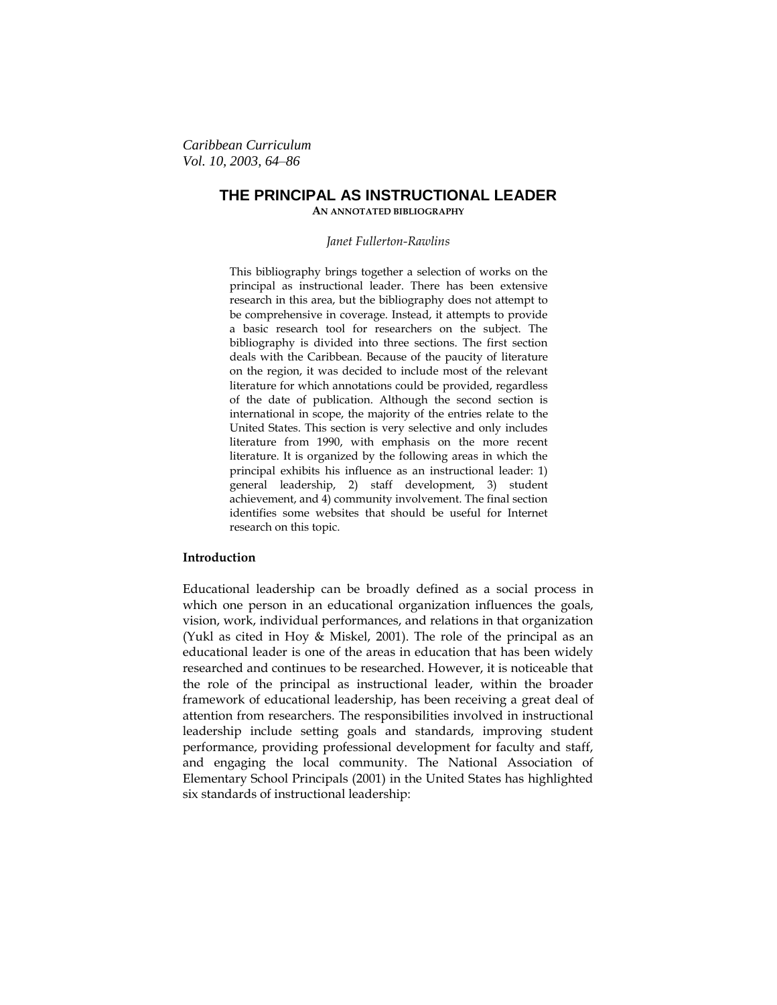*Caribbean Curriculum Vol. 10, 2003, 64–86*

# **THE PRINCIPAL AS INSTRUCTIONAL LEADER AN ANNOTATED BIBLIOGRAPHY**

#### *Janet Fullerton-Rawlins*

This bibliography brings together a selection of works on the principal as instructional leader. There has been extensive research in this area, but the bibliography does not attempt to be comprehensive in coverage. Instead, it attempts to provide a basic research tool for researchers on the subject. The bibliography is divided into three sections. The first section deals with the Caribbean. Because of the paucity of literature on the region, it was decided to include most of the relevant literature for which annotations could be provided, regardless of the date of publication. Although the second section is international in scope, the majority of the entries relate to the United States. This section is very selective and only includes literature from 1990, with emphasis on the more recent literature. It is organized by the following areas in which the principal exhibits his influence as an instructional leader: 1) general leadership, 2) staff development, 3) student achievement, and 4) community involvement. The final section identifies some websites that should be useful for Internet research on this topic.

# **Introduction**

Educational leadership can be broadly defined as a social process in which one person in an educational organization influences the goals, vision, work, individual performances, and relations in that organization (Yukl as cited in Hoy & Miskel, 2001). The role of the principal as an educational leader is one of the areas in education that has been widely researched and continues to be researched. However, it is noticeable that the role of the principal as instructional leader, within the broader framework of educational leadership, has been receiving a great deal of attention from researchers. The responsibilities involved in instructional leadership include setting goals and standards, improving student performance, providing professional development for faculty and staff, and engaging the local community. The National Association of Elementary School Principals (2001) in the United States has highlighted six standards of instructional leadership: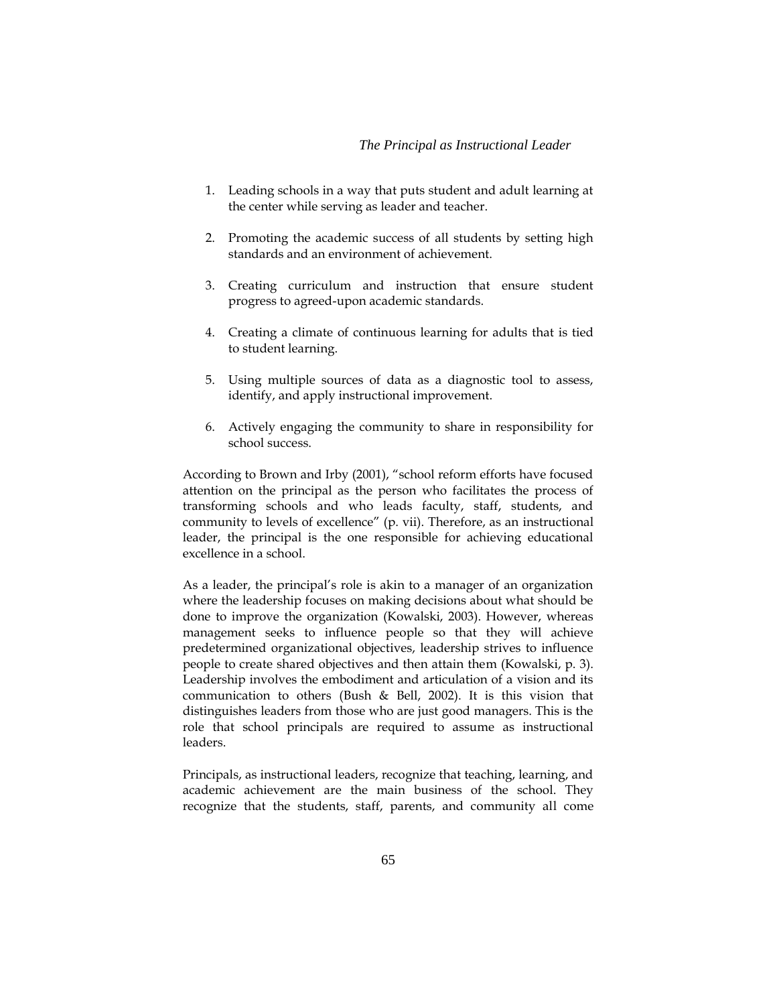### *The Principal as Instructional Leader*

- 1. Leading schools in a way that puts student and adult learning at the center while serving as leader and teacher.
- 2. Promoting the academic success of all students by setting high standards and an environment of achievement.
- 3. Creating curriculum and instruction that ensure student progress to agreed-upon academic standards.
- 4. Creating a climate of continuous learning for adults that is tied to student learning.
- 5. Using multiple sources of data as a diagnostic tool to assess, identify, and apply instructional improvement.
- 6. Actively engaging the community to share in responsibility for school success.

According to Brown and Irby (2001), "school reform efforts have focused attention on the principal as the person who facilitates the process of transforming schools and who leads faculty, staff, students, and community to levels of excellence" (p. vii). Therefore, as an instructional leader, the principal is the one responsible for achieving educational excellence in a school.

As a leader, the principal's role is akin to a manager of an organization where the leadership focuses on making decisions about what should be done to improve the organization (Kowalski, 2003). However, whereas management seeks to influence people so that they will achieve predetermined organizational objectives, leadership strives to influence people to create shared objectives and then attain them (Kowalski, p. 3). Leadership involves the embodiment and articulation of a vision and its communication to others (Bush & Bell, 2002). It is this vision that distinguishes leaders from those who are just good managers. This is the role that school principals are required to assume as instructional leaders.

Principals, as instructional leaders, recognize that teaching, learning, and academic achievement are the main business of the school. They recognize that the students, staff, parents, and community all come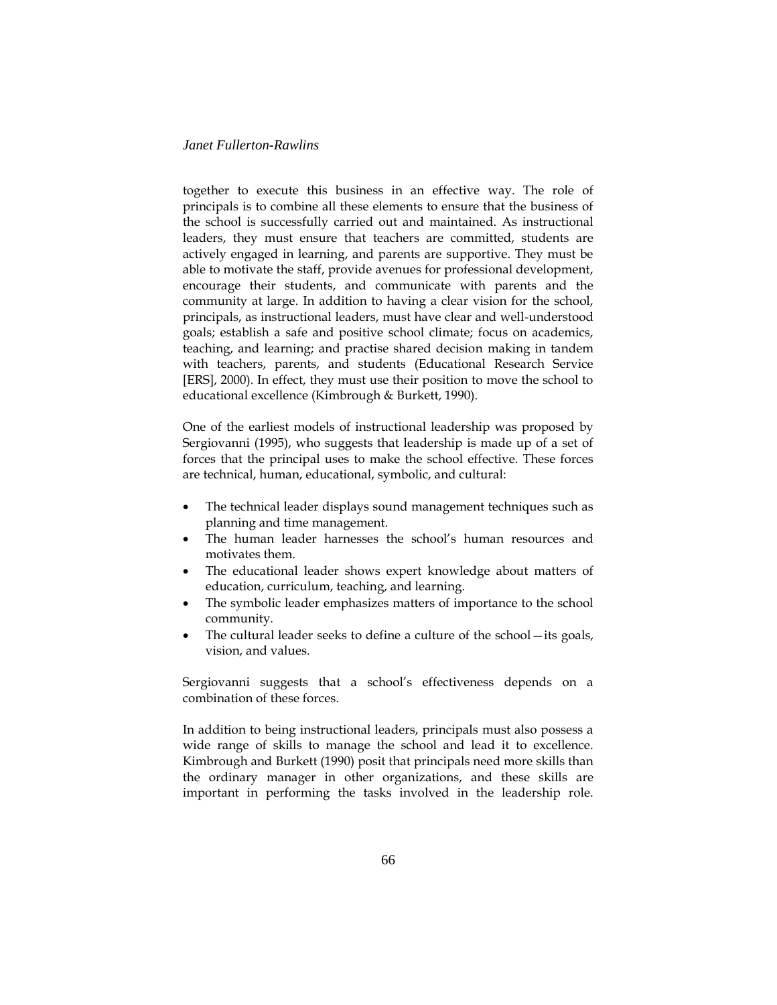together to execute this business in an effective way. The role of principals is to combine all these elements to ensure that the business of the school is successfully carried out and maintained. As instructional leaders, they must ensure that teachers are committed, students are actively engaged in learning, and parents are supportive. They must be able to motivate the staff, provide avenues for professional development, encourage their students, and communicate with parents and the community at large. In addition to having a clear vision for the school, principals, as instructional leaders, must have clear and well-understood goals; establish a safe and positive school climate; focus on academics, teaching, and learning; and practise shared decision making in tandem with teachers, parents, and students (Educational Research Service [ERS], 2000). In effect, they must use their position to move the school to educational excellence (Kimbrough & Burkett, 1990).

One of the earliest models of instructional leadership was proposed by Sergiovanni (1995), who suggests that leadership is made up of a set of forces that the principal uses to make the school effective. These forces are technical, human, educational, symbolic, and cultural:

- The technical leader displays sound management techniques such as planning and time management.
- The human leader harnesses the school's human resources and motivates them.
- The educational leader shows expert knowledge about matters of education, curriculum, teaching, and learning.
- The symbolic leader emphasizes matters of importance to the school community.
- The cultural leader seeks to define a culture of the school—its goals, vision, and values.

Sergiovanni suggests that a school's effectiveness depends on a combination of these forces.

In addition to being instructional leaders, principals must also possess a wide range of skills to manage the school and lead it to excellence. Kimbrough and Burkett (1990) posit that principals need more skills than the ordinary manager in other organizations, and these skills are important in performing the tasks involved in the leadership role.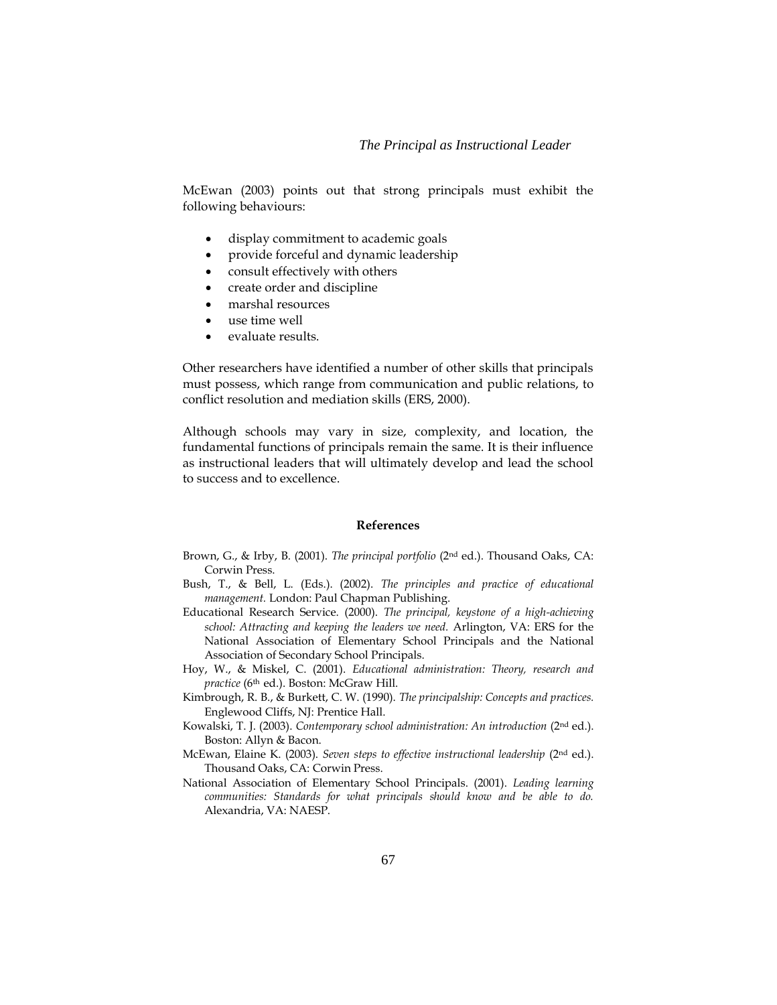### *The Principal as Instructional Leader*

McEwan (2003) points out that strong principals must exhibit the following behaviours:

- display commitment to academic goals
- provide forceful and dynamic leadership
- consult effectively with others
- create order and discipline
- marshal resources
- use time well
- evaluate results.

Other researchers have identified a number of other skills that principals must possess, which range from communication and public relations, to conflict resolution and mediation skills (ERS, 2000).

Although schools may vary in size, complexity, and location, the fundamental functions of principals remain the same. It is their influence as instructional leaders that will ultimately develop and lead the school to success and to excellence.

#### **References**

- Brown, G., & Irby, B. (2001). *The principal portfolio* (2nd ed.). Thousand Oaks, CA: Corwin Press.
- Bush, T., & Bell, L. (Eds.). (2002). *The principles and practice of educational management.* London: Paul Chapman Publishing.
- Educational Research Service. (2000). *The principal, keystone of a high-achieving school: Attracting and keeping the leaders we need.* Arlington, VA: ERS for the National Association of Elementary School Principals and the National Association of Secondary School Principals.
- Hoy, W., & Miskel, C. (2001). *Educational administration: Theory, research and practice* (6th ed.). Boston: McGraw Hill.
- Kimbrough, R. B., & Burkett, C. W. (1990). *The principalship: Concepts and practices.*  Englewood Cliffs, NJ: Prentice Hall.
- Kowalski, T. J. (2003). *Contemporary school administration: An introduction* (2nd ed.). Boston: Allyn & Bacon.
- McEwan, Elaine K. (2003). *Seven steps to effective instructional leadership* (2nd ed.). Thousand Oaks, CA: Corwin Press.
- National Association of Elementary School Principals. (2001). *Leading learning communities: Standards for what principals should know and be able to do.* Alexandria, VA: NAESP.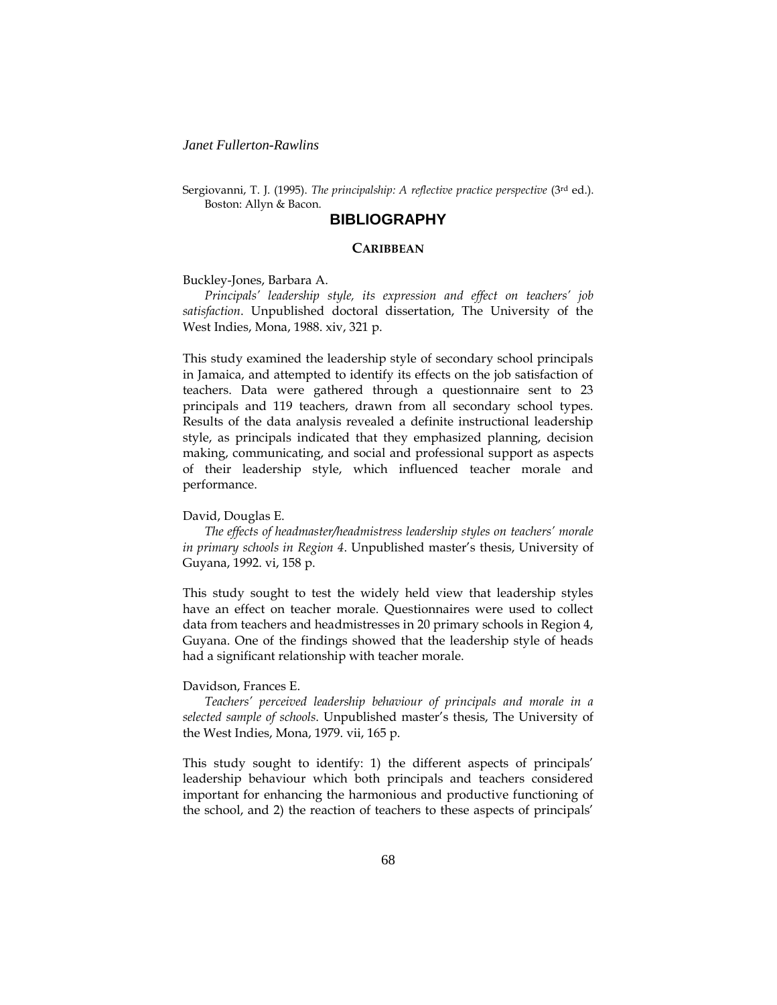Sergiovanni, T. J. (1995). *The principalship: A reflective practice perspective* (3rd ed.). Boston: Allyn & Bacon.

# **BIBLIOGRAPHY**

#### **CARIBBEAN**

#### Buckley-Jones, Barbara A.

*Principals' leadership style, its expression and effect on teachers' job satisfaction*. Unpublished doctoral dissertation, The University of the West Indies, Mona, 1988. xiv, 321 p.

This study examined the leadership style of secondary school principals in Jamaica, and attempted to identify its effects on the job satisfaction of teachers. Data were gathered through a questionnaire sent to 23 principals and 119 teachers, drawn from all secondary school types. Results of the data analysis revealed a definite instructional leadership style, as principals indicated that they emphasized planning, decision making, communicating, and social and professional support as aspects of their leadership style, which influenced teacher morale and performance.

### David, Douglas E.

*The effects of headmaster/headmistress leadership styles on teachers' morale in primary schools in Region 4*. Unpublished master's thesis, University of Guyana, 1992. vi, 158 p.

This study sought to test the widely held view that leadership styles have an effect on teacher morale. Questionnaires were used to collect data from teachers and headmistresses in 20 primary schools in Region 4, Guyana. One of the findings showed that the leadership style of heads had a significant relationship with teacher morale.

### Davidson, Frances E.

*Teachers' perceived leadership behaviour of principals and morale in a selected sample of schools*. Unpublished master's thesis, The University of the West Indies, Mona, 1979. vii, 165 p.

This study sought to identify: 1) the different aspects of principals' leadership behaviour which both principals and teachers considered important for enhancing the harmonious and productive functioning of the school, and 2) the reaction of teachers to these aspects of principals'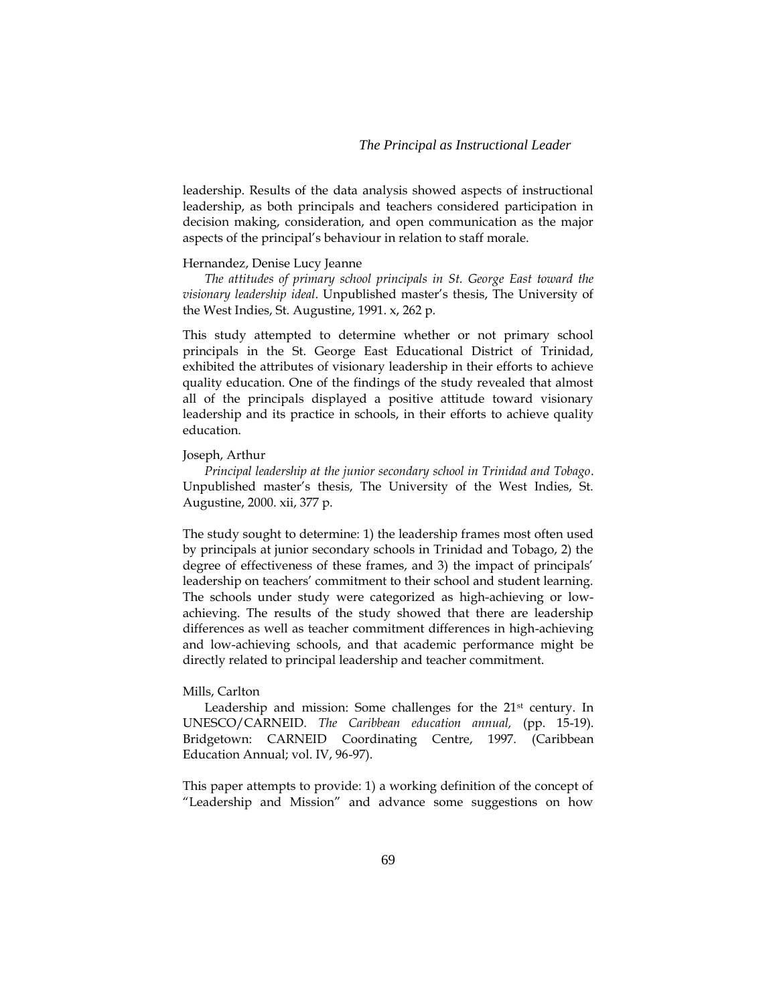#### *The Principal as Instructional Leader*

leadership. Results of the data analysis showed aspects of instructional leadership, as both principals and teachers considered participation in decision making, consideration, and open communication as the major aspects of the principal's behaviour in relation to staff morale.

### Hernandez, Denise Lucy Jeanne

*The attitudes of primary school principals in St. George East toward the visionary leadership ideal*. Unpublished master's thesis, The University of the West Indies, St. Augustine, 1991. x, 262 p.

This study attempted to determine whether or not primary school principals in the St. George East Educational District of Trinidad, exhibited the attributes of visionary leadership in their efforts to achieve quality education. One of the findings of the study revealed that almost all of the principals displayed a positive attitude toward visionary leadership and its practice in schools, in their efforts to achieve quality education.

#### Joseph, Arthur

*Principal leadership at the junior secondary school in Trinidad and Tobago*. Unpublished master's thesis, The University of the West Indies, St. Augustine, 2000. xii, 377 p.

The study sought to determine: 1) the leadership frames most often used by principals at junior secondary schools in Trinidad and Tobago, 2) the degree of effectiveness of these frames, and 3) the impact of principals' leadership on teachers' commitment to their school and student learning. The schools under study were categorized as high-achieving or lowachieving. The results of the study showed that there are leadership differences as well as teacher commitment differences in high-achieving and low-achieving schools, and that academic performance might be directly related to principal leadership and teacher commitment.

### Mills, Carlton

Leadership and mission: Some challenges for the 21<sup>st</sup> century. In UNESCO/CARNEID. *The Caribbean education annual,* (pp. 15-19). Bridgetown: CARNEID Coordinating Centre, 1997. (Caribbean Education Annual; vol. IV, 96-97).

This paper attempts to provide: 1) a working definition of the concept of "Leadership and Mission" and advance some suggestions on how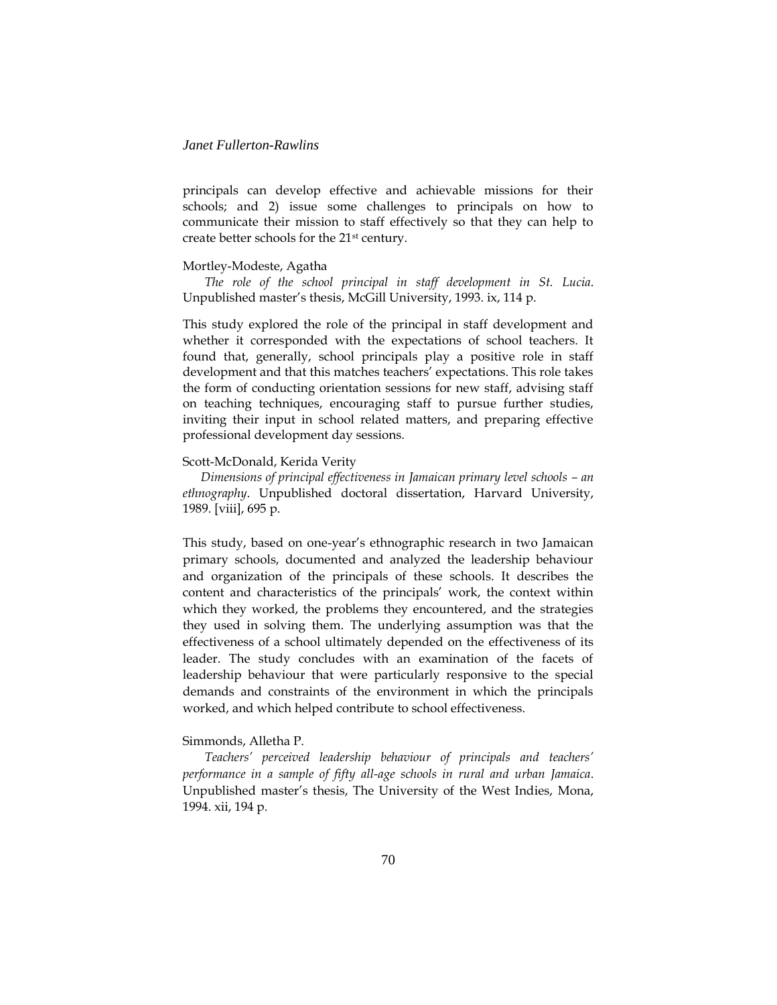principals can develop effective and achievable missions for their schools; and 2) issue some challenges to principals on how to communicate their mission to staff effectively so that they can help to create better schools for the 21st century.

#### Mortley-Modeste, Agatha

*The role of the school principal in staff development in St. Lucia*. Unpublished master's thesis, McGill University, 1993. ix, 114 p.

This study explored the role of the principal in staff development and whether it corresponded with the expectations of school teachers. It found that, generally, school principals play a positive role in staff development and that this matches teachers' expectations. This role takes the form of conducting orientation sessions for new staff, advising staff on teaching techniques, encouraging staff to pursue further studies, inviting their input in school related matters, and preparing effective professional development day sessions.

#### Scott-McDonald, Kerida Verity

*Dimensions of principal effectiveness in Jamaican primary level schools – an ethnography*. Unpublished doctoral dissertation, Harvard University, 1989. [viii], 695 p.

This study, based on one-year's ethnographic research in two Jamaican primary schools, documented and analyzed the leadership behaviour and organization of the principals of these schools. It describes the content and characteristics of the principals' work, the context within which they worked, the problems they encountered, and the strategies they used in solving them. The underlying assumption was that the effectiveness of a school ultimately depended on the effectiveness of its leader. The study concludes with an examination of the facets of leadership behaviour that were particularly responsive to the special demands and constraints of the environment in which the principals worked, and which helped contribute to school effectiveness.

### Simmonds, Alletha P.

*Teachers' perceived leadership behaviour of principals and teachers' performance in a sample of fifty all-age schools in rural and urban Jamaica*. Unpublished master's thesis, The University of the West Indies, Mona, 1994. xii, 194 p.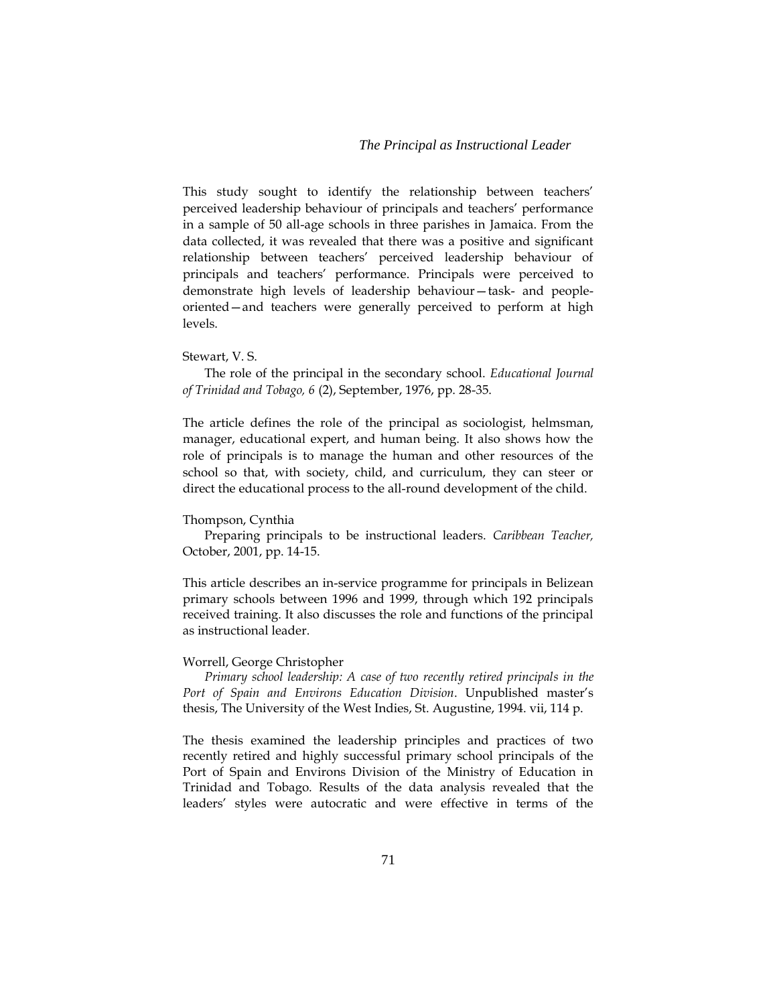This study sought to identify the relationship between teachers' perceived leadership behaviour of principals and teachers' performance in a sample of 50 all-age schools in three parishes in Jamaica. From the data collected, it was revealed that there was a positive and significant relationship between teachers' perceived leadership behaviour of principals and teachers' performance. Principals were perceived to demonstrate high levels of leadership behaviour—task- and peopleoriented—and teachers were generally perceived to perform at high levels.

### Stewart, V. S.

The role of the principal in the secondary school. *Educational Journal of Trinidad and Tobago, 6* (2), September, 1976, pp. 28-35.

The article defines the role of the principal as sociologist, helmsman, manager, educational expert, and human being. It also shows how the role of principals is to manage the human and other resources of the school so that, with society, child, and curriculum, they can steer or direct the educational process to the all-round development of the child.

#### Thompson, Cynthia

Preparing principals to be instructional leaders. *Caribbean Teacher,* October, 2001, pp. 14-15.

This article describes an in-service programme for principals in Belizean primary schools between 1996 and 1999, through which 192 principals received training. It also discusses the role and functions of the principal as instructional leader.

#### Worrell, George Christopher

*Primary school leadership: A case of two recently retired principals in the Port of Spain and Environs Education Division*. Unpublished master's thesis, The University of the West Indies, St. Augustine, 1994. vii, 114 p.

The thesis examined the leadership principles and practices of two recently retired and highly successful primary school principals of the Port of Spain and Environs Division of the Ministry of Education in Trinidad and Tobago. Results of the data analysis revealed that the leaders' styles were autocratic and were effective in terms of the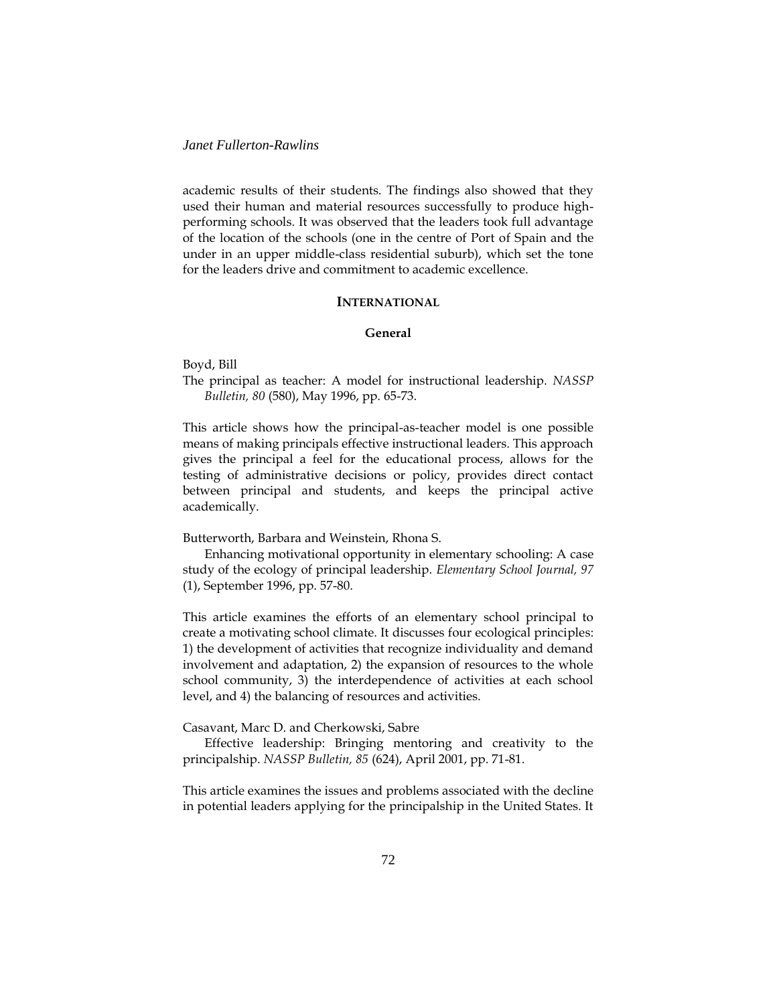academic results of their students. The findings also showed that they used their human and material resources successfully to produce highperforming schools. It was observed that the leaders took full advantage of the location of the schools (one in the centre of Port of Spain and the under in an upper middle-class residential suburb), which set the tone for the leaders drive and commitment to academic excellence.

# **INTERNATIONAL**

# **General**

Boyd, Bill

The principal as teacher: A model for instructional leadership. *NASSP Bulletin, 80* (580), May 1996, pp. 65-73.

This article shows how the principal-as-teacher model is one possible means of making principals effective instructional leaders. This approach gives the principal a feel for the educational process, allows for the testing of administrative decisions or policy, provides direct contact between principal and students, and keeps the principal active academically.

Butterworth, Barbara and Weinstein, Rhona S.

Enhancing motivational opportunity in elementary schooling: A case study of the ecology of principal leadership. *Elementary School Journal, 97* (1), September 1996, pp. 57-80.

This article examines the efforts of an elementary school principal to create a motivating school climate. It discusses four ecological principles: 1) the development of activities that recognize individuality and demand involvement and adaptation, 2) the expansion of resources to the whole school community, 3) the interdependence of activities at each school level, and 4) the balancing of resources and activities.

Casavant, Marc D. and Cherkowski, Sabre

Effective leadership: Bringing mentoring and creativity to the principalship. *NASSP Bulletin, 85* (624), April 2001, pp. 71-81.

This article examines the issues and problems associated with the decline in potential leaders applying for the principalship in the United States. It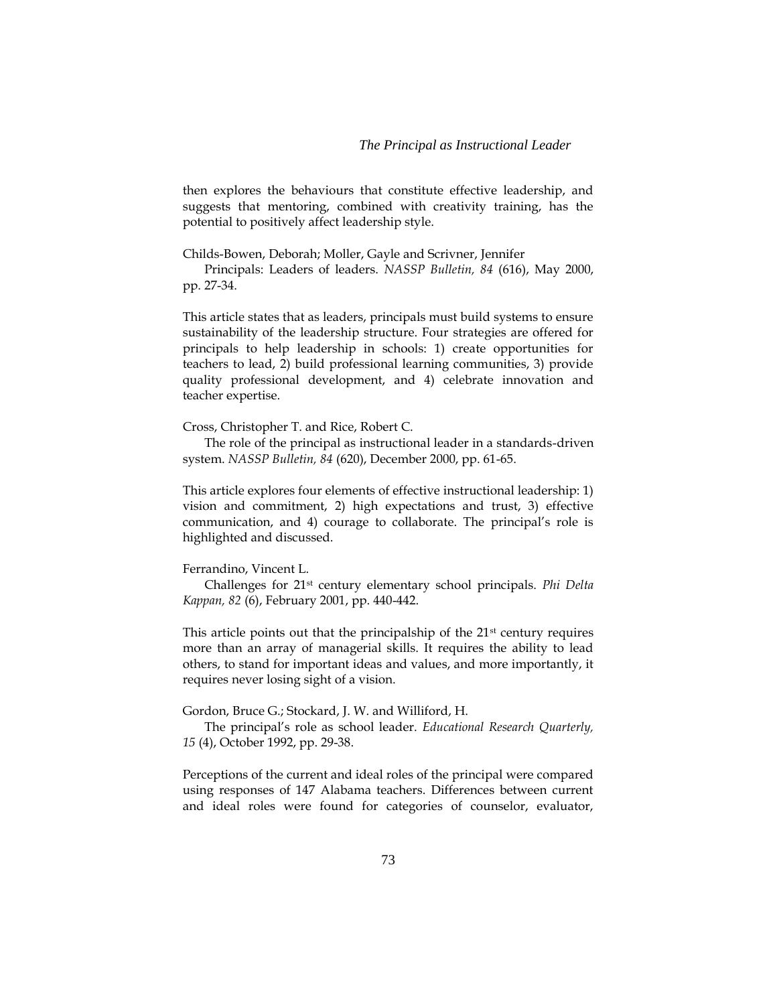then explores the behaviours that constitute effective leadership, and suggests that mentoring, combined with creativity training, has the potential to positively affect leadership style.

Childs-Bowen, Deborah; Moller, Gayle and Scrivner, Jennifer

Principals: Leaders of leaders. *NASSP Bulletin, 84* (616), May 2000, pp. 27-34.

This article states that as leaders, principals must build systems to ensure sustainability of the leadership structure. Four strategies are offered for principals to help leadership in schools: 1) create opportunities for teachers to lead, 2) build professional learning communities, 3) provide quality professional development, and 4) celebrate innovation and teacher expertise.

Cross, Christopher T. and Rice, Robert C.

The role of the principal as instructional leader in a standards-driven system. *NASSP Bulletin, 84* (620), December 2000, pp. 61-65.

This article explores four elements of effective instructional leadership: 1) vision and commitment, 2) high expectations and trust, 3) effective communication, and 4) courage to collaborate. The principal's role is highlighted and discussed.

#### Ferrandino, Vincent L.

Challenges for 21st century elementary school principals. *Phi Delta Kappan, 82* (6), February 2001, pp. 440-442.

This article points out that the principalship of the  $21<sup>st</sup>$  century requires more than an array of managerial skills. It requires the ability to lead others, to stand for important ideas and values, and more importantly, it requires never losing sight of a vision.

Gordon, Bruce G.; Stockard, J. W. and Williford, H.

The principal's role as school leader. *Educational Research Quarterly, 15* (4), October 1992, pp. 29-38.

Perceptions of the current and ideal roles of the principal were compared using responses of 147 Alabama teachers. Differences between current and ideal roles were found for categories of counselor, evaluator,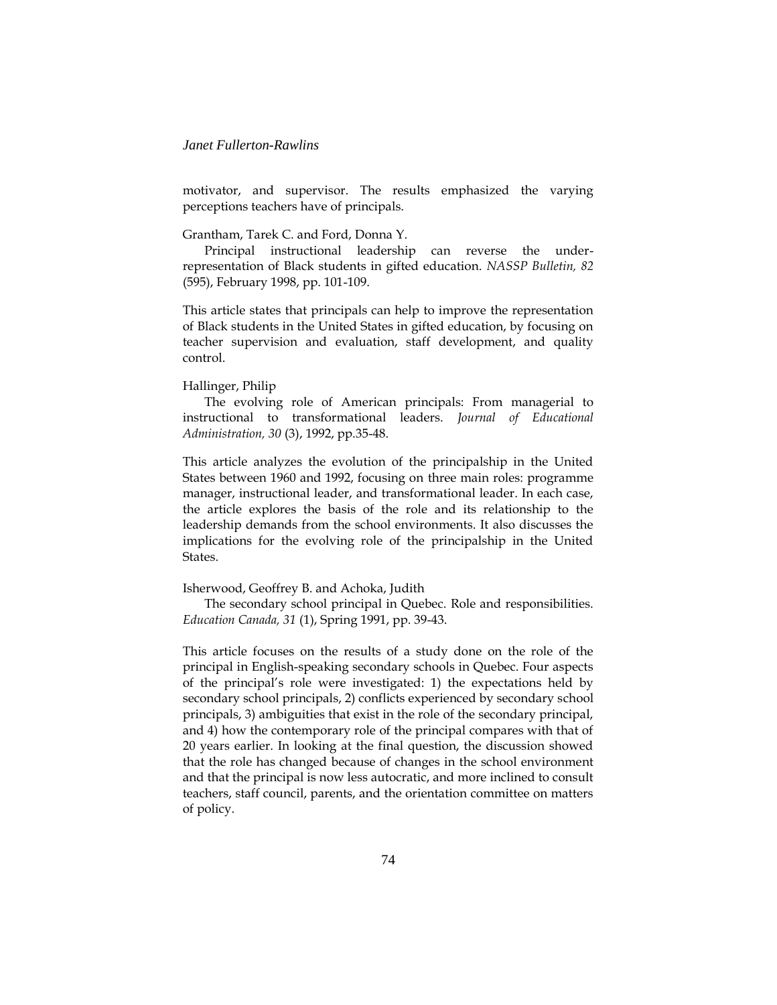motivator, and supervisor. The results emphasized the varying perceptions teachers have of principals.

#### Grantham, Tarek C. and Ford, Donna Y.

Principal instructional leadership can reverse the underrepresentation of Black students in gifted education. *NASSP Bulletin, 82*  (595), February 1998, pp. 101-109.

This article states that principals can help to improve the representation of Black students in the United States in gifted education, by focusing on teacher supervision and evaluation, staff development, and quality control.

#### Hallinger, Philip

The evolving role of American principals: From managerial to instructional to transformational leaders. *Journal of Educational Administration, 30* (3), 1992, pp.35-48.

This article analyzes the evolution of the principalship in the United States between 1960 and 1992, focusing on three main roles: programme manager, instructional leader, and transformational leader. In each case, the article explores the basis of the role and its relationship to the leadership demands from the school environments. It also discusses the implications for the evolving role of the principalship in the United States.

### Isherwood, Geoffrey B. and Achoka, Judith

The secondary school principal in Quebec. Role and responsibilities. *Education Canada, 31* (1), Spring 1991, pp. 39-43.

This article focuses on the results of a study done on the role of the principal in English-speaking secondary schools in Quebec. Four aspects of the principal's role were investigated: 1) the expectations held by secondary school principals, 2) conflicts experienced by secondary school principals, 3) ambiguities that exist in the role of the secondary principal, and 4) how the contemporary role of the principal compares with that of 20 years earlier. In looking at the final question, the discussion showed that the role has changed because of changes in the school environment and that the principal is now less autocratic, and more inclined to consult teachers, staff council, parents, and the orientation committee on matters of policy.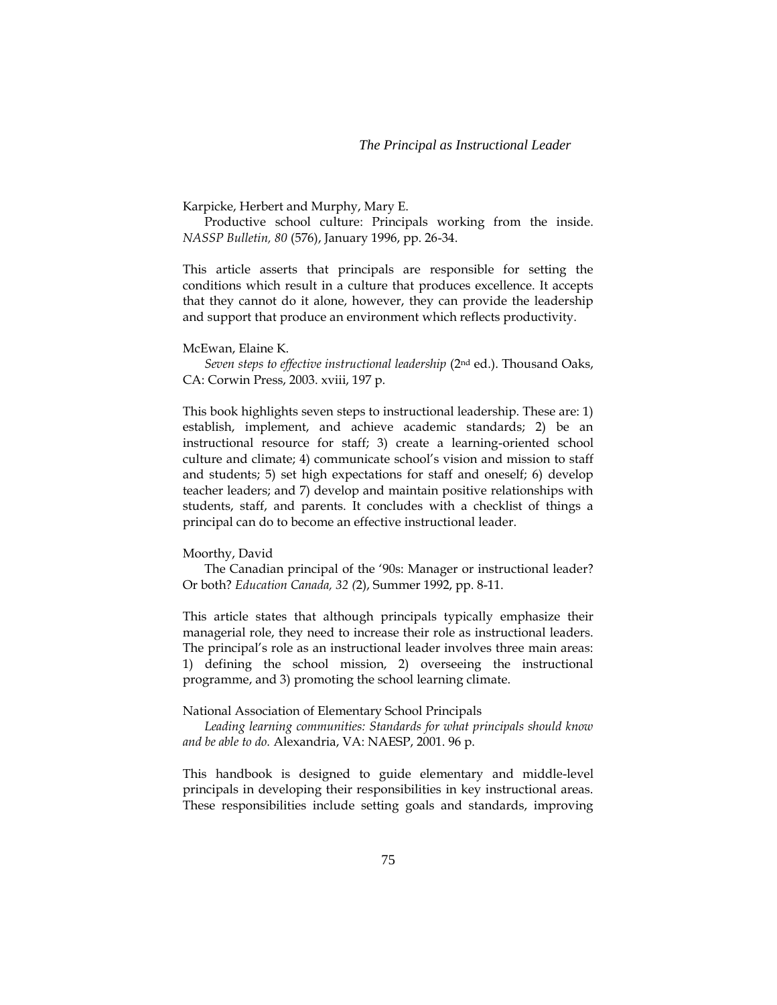Karpicke, Herbert and Murphy, Mary E.

Productive school culture: Principals working from the inside. *NASSP Bulletin, 80* (576), January 1996, pp. 26-34.

This article asserts that principals are responsible for setting the conditions which result in a culture that produces excellence. It accepts that they cannot do it alone, however, they can provide the leadership and support that produce an environment which reflects productivity.

McEwan, Elaine K.

*Seven steps to effective instructional leadership* (2nd ed.). Thousand Oaks, CA: Corwin Press, 2003. xviii, 197 p.

This book highlights seven steps to instructional leadership. These are: 1) establish, implement, and achieve academic standards; 2) be an instructional resource for staff; 3) create a learning-oriented school culture and climate; 4) communicate school's vision and mission to staff and students; 5) set high expectations for staff and oneself; 6) develop teacher leaders; and 7) develop and maintain positive relationships with students, staff, and parents. It concludes with a checklist of things a principal can do to become an effective instructional leader.

#### Moorthy, David

The Canadian principal of the '90s: Manager or instructional leader? Or both? *Education Canada, 32 (*2), Summer 1992, pp. 8-11.

This article states that although principals typically emphasize their managerial role, they need to increase their role as instructional leaders. The principal's role as an instructional leader involves three main areas: 1) defining the school mission, 2) overseeing the instructional programme, and 3) promoting the school learning climate.

### National Association of Elementary School Principals

*Leading learning communities: Standards for what principals should know and be able to do.* Alexandria, VA: NAESP, 2001. 96 p.

This handbook is designed to guide elementary and middle-level principals in developing their responsibilities in key instructional areas. These responsibilities include setting goals and standards, improving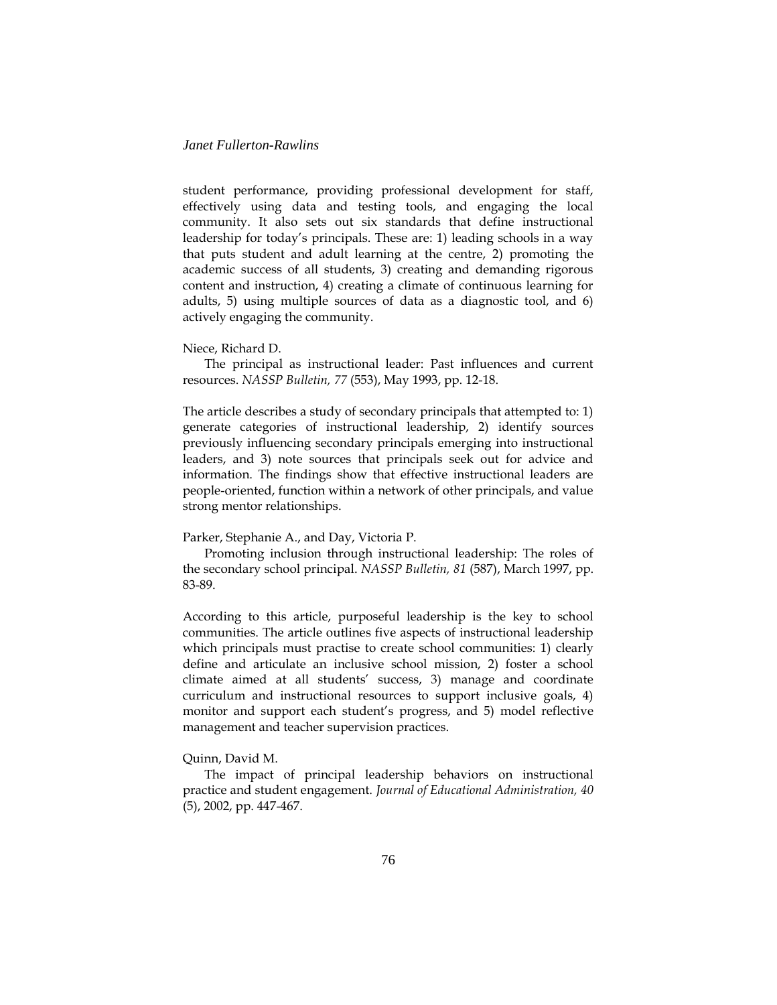student performance, providing professional development for staff, effectively using data and testing tools, and engaging the local community. It also sets out six standards that define instructional leadership for today's principals. These are: 1) leading schools in a way that puts student and adult learning at the centre, 2) promoting the academic success of all students, 3) creating and demanding rigorous content and instruction, 4) creating a climate of continuous learning for adults, 5) using multiple sources of data as a diagnostic tool, and 6) actively engaging the community.

### Niece, Richard D.

The principal as instructional leader: Past influences and current resources. *NASSP Bulletin, 77* (553), May 1993, pp. 12-18.

The article describes a study of secondary principals that attempted to: 1) generate categories of instructional leadership, 2) identify sources previously influencing secondary principals emerging into instructional leaders, and 3) note sources that principals seek out for advice and information. The findings show that effective instructional leaders are people-oriented, function within a network of other principals, and value strong mentor relationships.

### Parker, Stephanie A., and Day, Victoria P.

Promoting inclusion through instructional leadership: The roles of the secondary school principal. *NASSP Bulletin, 81* (587), March 1997, pp. 83-89.

According to this article, purposeful leadership is the key to school communities. The article outlines five aspects of instructional leadership which principals must practise to create school communities: 1) clearly define and articulate an inclusive school mission, 2) foster a school climate aimed at all students' success, 3) manage and coordinate curriculum and instructional resources to support inclusive goals, 4) monitor and support each student's progress, and 5) model reflective management and teacher supervision practices.

### Quinn, David M.

The impact of principal leadership behaviors on instructional practice and student engagement. *Journal of Educational Administration, 40* (5), 2002, pp. 447-467.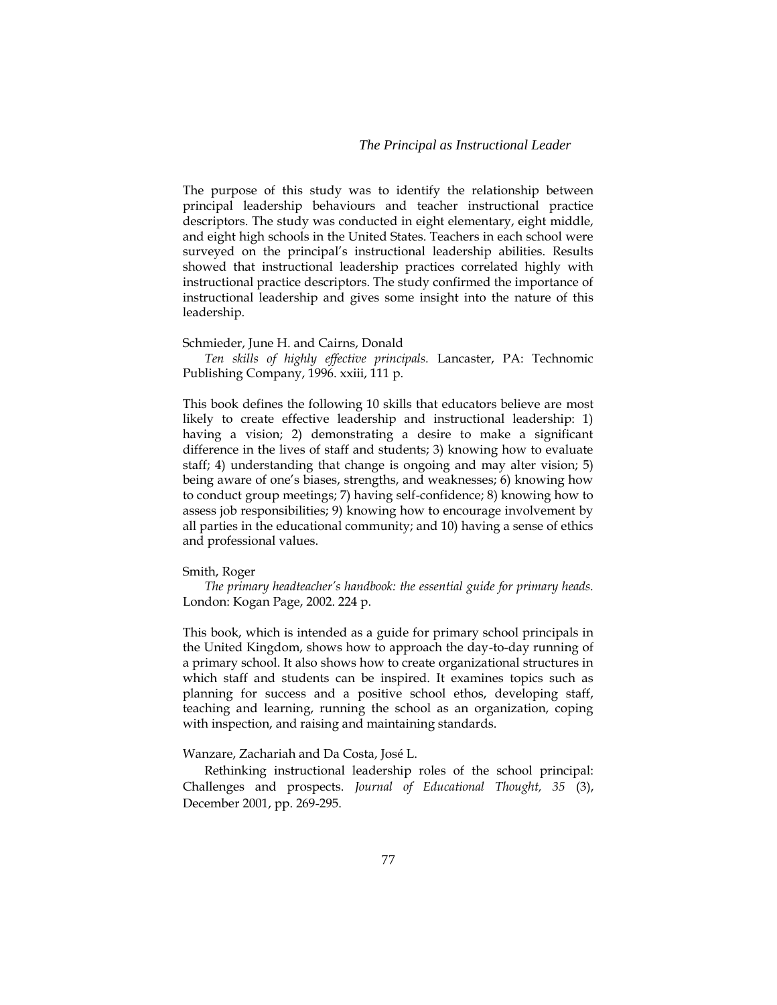The purpose of this study was to identify the relationship between principal leadership behaviours and teacher instructional practice descriptors. The study was conducted in eight elementary, eight middle, and eight high schools in the United States. Teachers in each school were surveyed on the principal's instructional leadership abilities. Results showed that instructional leadership practices correlated highly with instructional practice descriptors. The study confirmed the importance of instructional leadership and gives some insight into the nature of this leadership.

#### Schmieder, June H. and Cairns, Donald

*Ten skills of highly effective principals.* Lancaster, PA: Technomic Publishing Company, 1996. xxiii, 111 p.

This book defines the following 10 skills that educators believe are most likely to create effective leadership and instructional leadership: 1) having a vision; 2) demonstrating a desire to make a significant difference in the lives of staff and students; 3) knowing how to evaluate staff; 4) understanding that change is ongoing and may alter vision; 5) being aware of one's biases, strengths, and weaknesses; 6) knowing how to conduct group meetings; 7) having self-confidence; 8) knowing how to assess job responsibilities; 9) knowing how to encourage involvement by all parties in the educational community; and 10) having a sense of ethics and professional values.

#### Smith, Roger

*The primary headteacher's handbook: the essential guide for primary heads.* London: Kogan Page, 2002. 224 p.

This book, which is intended as a guide for primary school principals in the United Kingdom, shows how to approach the day-to-day running of a primary school. It also shows how to create organizational structures in which staff and students can be inspired. It examines topics such as planning for success and a positive school ethos, developing staff, teaching and learning, running the school as an organization, coping with inspection, and raising and maintaining standards.

Wanzare, Zachariah and Da Costa, José L.

Rethinking instructional leadership roles of the school principal: Challenges and prospects. *Journal of Educational Thought, 35* (3), December 2001, pp. 269-295.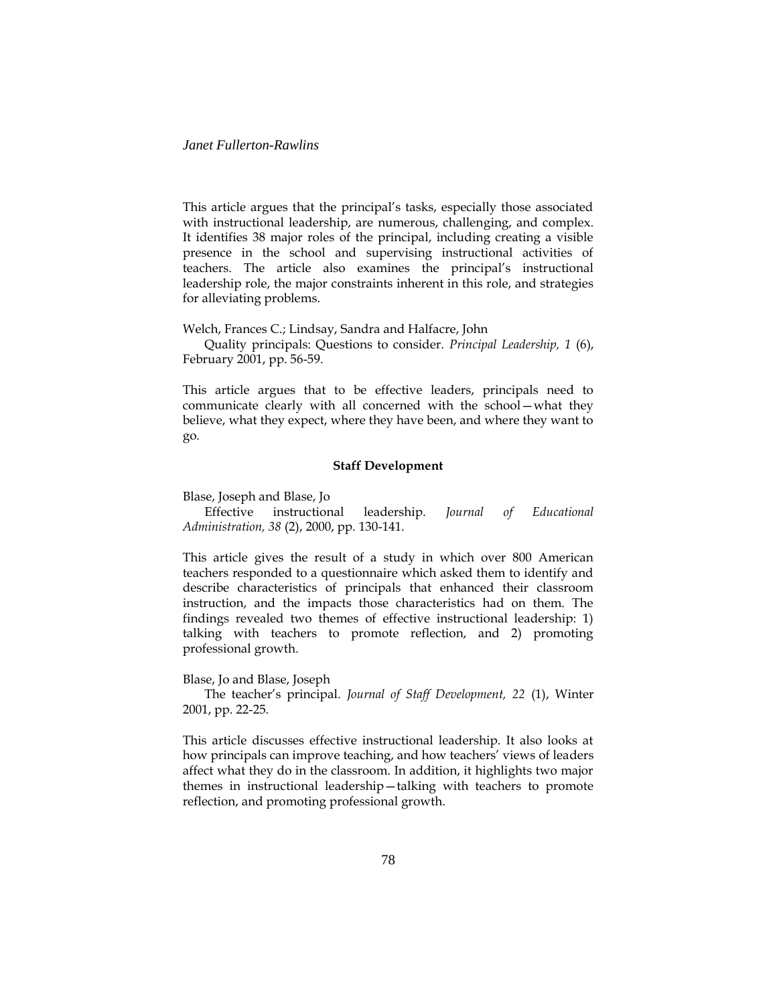This article argues that the principal's tasks, especially those associated with instructional leadership, are numerous, challenging, and complex. It identifies 38 major roles of the principal, including creating a visible presence in the school and supervising instructional activities of teachers. The article also examines the principal's instructional leadership role, the major constraints inherent in this role, and strategies for alleviating problems.

Welch, Frances C.; Lindsay, Sandra and Halfacre, John

Quality principals: Questions to consider. *Principal Leadership, 1* (6), February 2001, pp. 56-59.

This article argues that to be effective leaders, principals need to communicate clearly with all concerned with the school—what they believe, what they expect, where they have been, and where they want to go.

#### **Staff Development**

Blase, Joseph and Blase, Jo

Effective instructional leadership. *Journal of Educational Administration, 38* (2), 2000, pp. 130-141.

This article gives the result of a study in which over 800 American teachers responded to a questionnaire which asked them to identify and describe characteristics of principals that enhanced their classroom instruction, and the impacts those characteristics had on them. The findings revealed two themes of effective instructional leadership: 1) talking with teachers to promote reflection, and 2) promoting professional growth.

Blase, Jo and Blase, Joseph

The teacher's principal. *Journal of Staff Development, 22* (1), Winter 2001, pp. 22-25.

This article discusses effective instructional leadership. It also looks at how principals can improve teaching, and how teachers' views of leaders affect what they do in the classroom. In addition, it highlights two major themes in instructional leadership—talking with teachers to promote reflection, and promoting professional growth.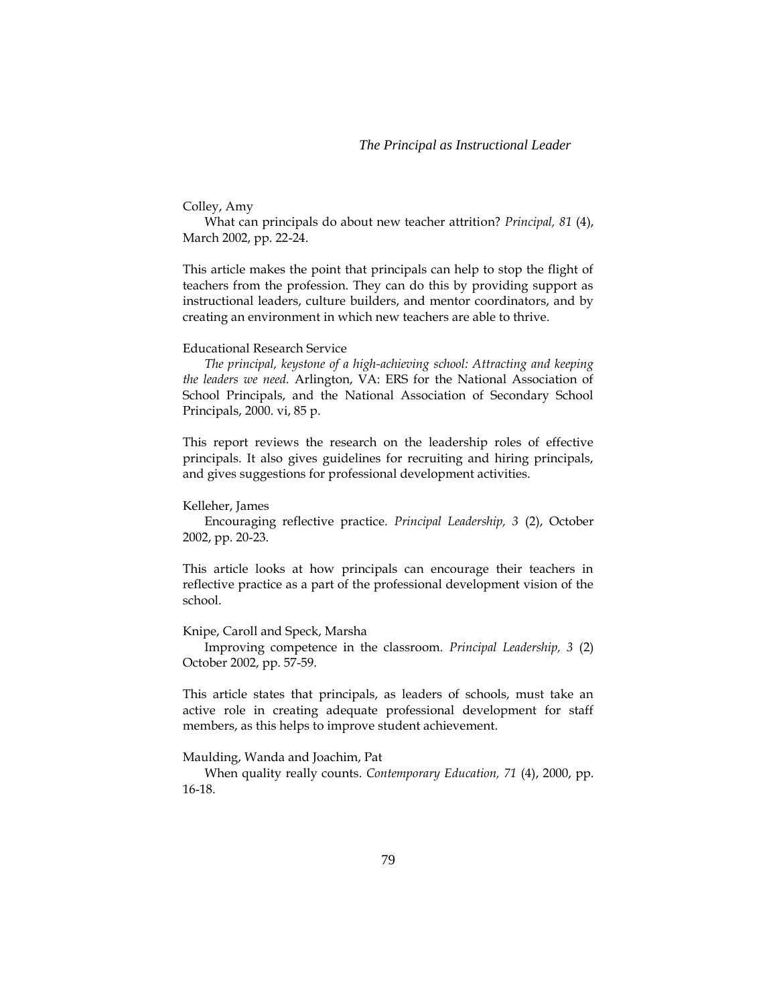# Colley, Amy

What can principals do about new teacher attrition? *Principal, 81* (4), March 2002, pp. 22-24.

This article makes the point that principals can help to stop the flight of teachers from the profession. They can do this by providing support as instructional leaders, culture builders, and mentor coordinators, and by creating an environment in which new teachers are able to thrive.

## Educational Research Service

*The principal, keystone of a high-achieving school: Attracting and keeping the leaders we need.* Arlington, VA: ERS for the National Association of School Principals, and the National Association of Secondary School Principals, 2000. vi, 85 p.

This report reviews the research on the leadership roles of effective principals. It also gives guidelines for recruiting and hiring principals, and gives suggestions for professional development activities.

#### Kelleher, James

Encouraging reflective practice. *Principal Leadership, 3* (2), October 2002, pp. 20-23.

This article looks at how principals can encourage their teachers in reflective practice as a part of the professional development vision of the school.

### Knipe, Caroll and Speck, Marsha

Improving competence in the classroom. *Principal Leadership, 3* (2) October 2002, pp. 57-59.

This article states that principals, as leaders of schools, must take an active role in creating adequate professional development for staff members, as this helps to improve student achievement.

Maulding, Wanda and Joachim, Pat

When quality really counts. *Contemporary Education, 71* (4), 2000, pp. 16-18.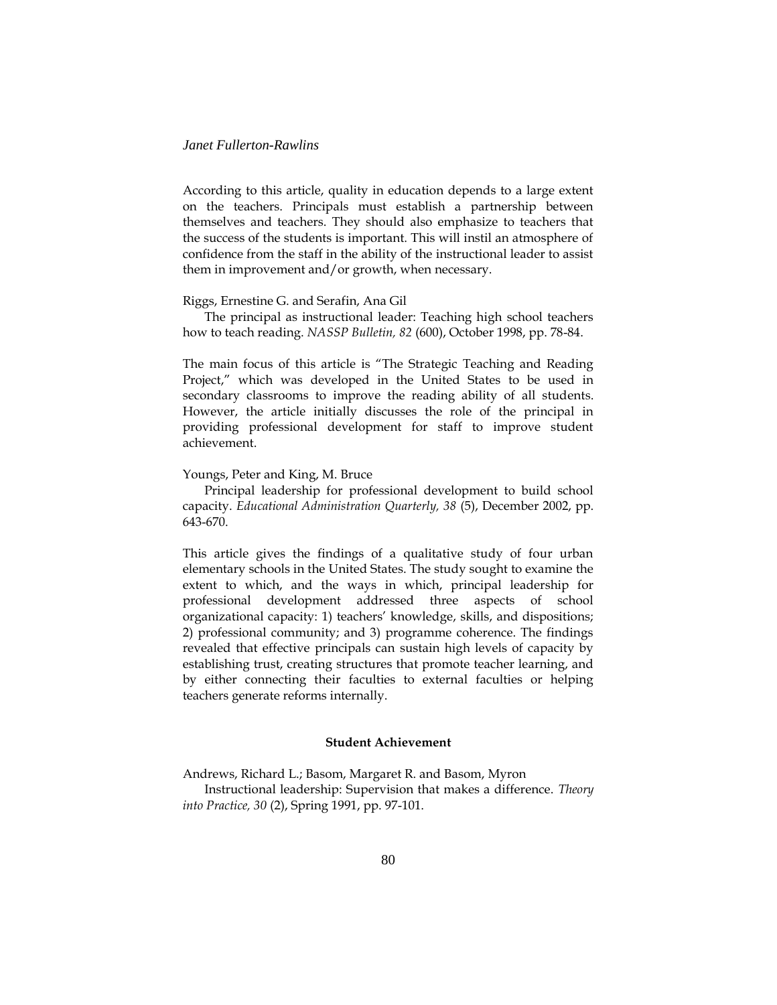According to this article, quality in education depends to a large extent on the teachers. Principals must establish a partnership between themselves and teachers. They should also emphasize to teachers that the success of the students is important. This will instil an atmosphere of confidence from the staff in the ability of the instructional leader to assist them in improvement and/or growth, when necessary.

#### Riggs, Ernestine G. and Serafin, Ana Gil

The principal as instructional leader: Teaching high school teachers how to teach reading. *NASSP Bulletin, 82* (600), October 1998, pp. 78-84.

The main focus of this article is "The Strategic Teaching and Reading Project," which was developed in the United States to be used in secondary classrooms to improve the reading ability of all students. However, the article initially discusses the role of the principal in providing professional development for staff to improve student achievement.

#### Youngs, Peter and King, M. Bruce

Principal leadership for professional development to build school capacity. *Educational Administration Quarterly, 38* (5), December 2002, pp. 643-670.

This article gives the findings of a qualitative study of four urban elementary schools in the United States. The study sought to examine the extent to which, and the ways in which, principal leadership for professional development addressed three aspects of school organizational capacity: 1) teachers' knowledge, skills, and dispositions; 2) professional community; and 3) programme coherence. The findings revealed that effective principals can sustain high levels of capacity by establishing trust, creating structures that promote teacher learning, and by either connecting their faculties to external faculties or helping teachers generate reforms internally.

# **Student Achievement**

Andrews, Richard L.; Basom, Margaret R. and Basom, Myron

Instructional leadership: Supervision that makes a difference. *Theory into Practice, 30* (2), Spring 1991, pp. 97-101.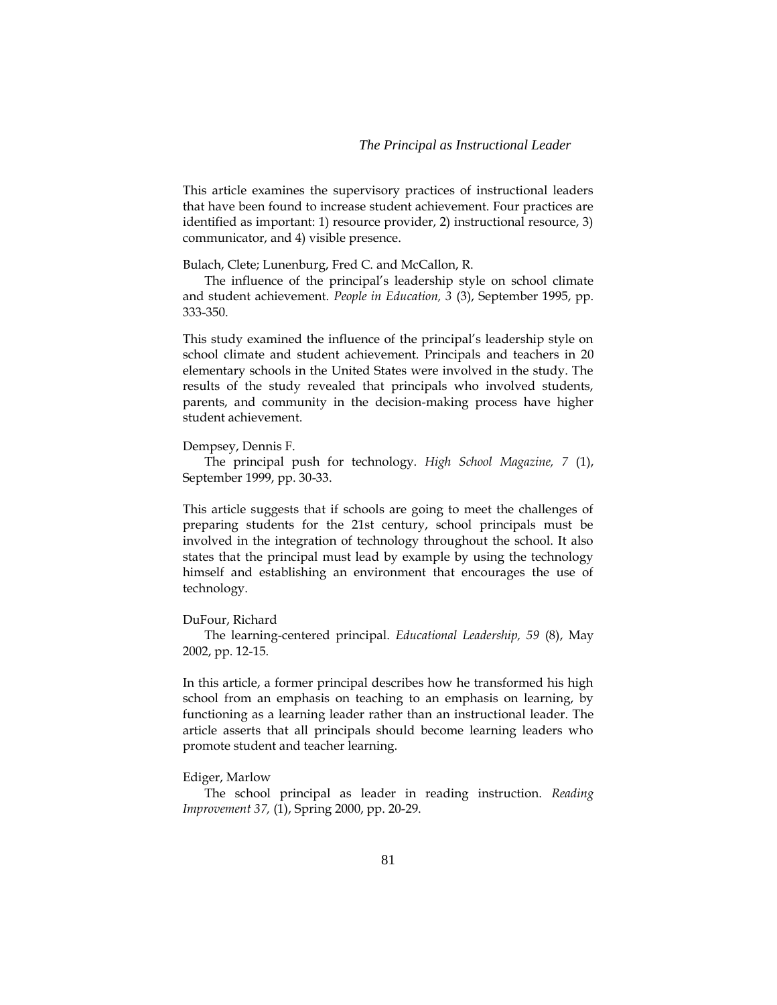This article examines the supervisory practices of instructional leaders that have been found to increase student achievement. Four practices are identified as important: 1) resource provider, 2) instructional resource, 3) communicator, and 4) visible presence.

Bulach, Clete; Lunenburg, Fred C. and McCallon, R.

The influence of the principal's leadership style on school climate and student achievement. *People in Education, 3* (3), September 1995, pp. 333-350.

This study examined the influence of the principal's leadership style on school climate and student achievement. Principals and teachers in 20 elementary schools in the United States were involved in the study. The results of the study revealed that principals who involved students, parents, and community in the decision-making process have higher student achievement.

#### Dempsey, Dennis F.

The principal push for technology. *High School Magazine, 7* (1), September 1999, pp. 30-33.

This article suggests that if schools are going to meet the challenges of preparing students for the 21st century, school principals must be involved in the integration of technology throughout the school. It also states that the principal must lead by example by using the technology himself and establishing an environment that encourages the use of technology.

#### DuFour, Richard

The learning-centered principal. *Educational Leadership, 59* (8), May 2002, pp. 12-15.

In this article, a former principal describes how he transformed his high school from an emphasis on teaching to an emphasis on learning, by functioning as a learning leader rather than an instructional leader. The article asserts that all principals should become learning leaders who promote student and teacher learning.

### Ediger, Marlow

The school principal as leader in reading instruction. *Reading Improvement 37,* (1), Spring 2000, pp. 20-29.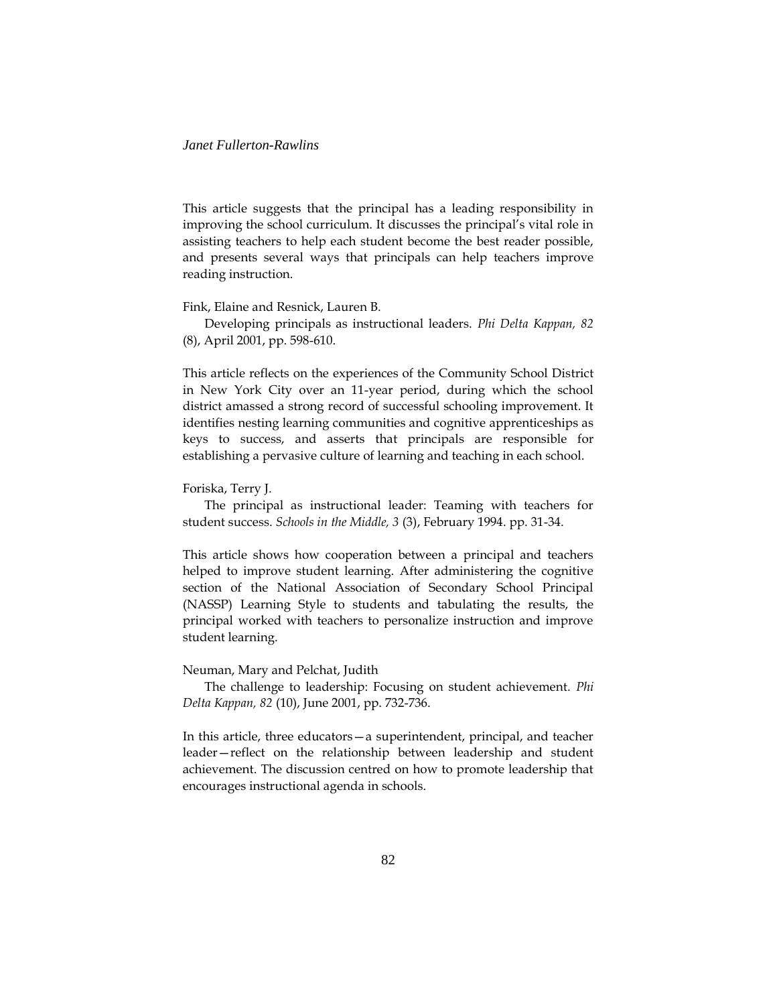This article suggests that the principal has a leading responsibility in improving the school curriculum. It discusses the principal's vital role in assisting teachers to help each student become the best reader possible, and presents several ways that principals can help teachers improve reading instruction.

Fink, Elaine and Resnick, Lauren B.

Developing principals as instructional leaders. *Phi Delta Kappan, 82* (8), April 2001, pp. 598-610.

This article reflects on the experiences of the Community School District in New York City over an 11-year period, during which the school district amassed a strong record of successful schooling improvement. It identifies nesting learning communities and cognitive apprenticeships as keys to success, and asserts that principals are responsible for establishing a pervasive culture of learning and teaching in each school.

#### Foriska, Terry J.

The principal as instructional leader: Teaming with teachers for student success. *Schools in the Middle, 3* (3), February 1994. pp. 31-34.

This article shows how cooperation between a principal and teachers helped to improve student learning. After administering the cognitive section of the National Association of Secondary School Principal (NASSP) Learning Style to students and tabulating the results, the principal worked with teachers to personalize instruction and improve student learning.

### Neuman, Mary and Pelchat, Judith

The challenge to leadership: Focusing on student achievement. *Phi Delta Kappan, 82* (10), June 2001, pp. 732-736.

In this article, three educators—a superintendent, principal, and teacher leader—reflect on the relationship between leadership and student achievement. The discussion centred on how to promote leadership that encourages instructional agenda in schools.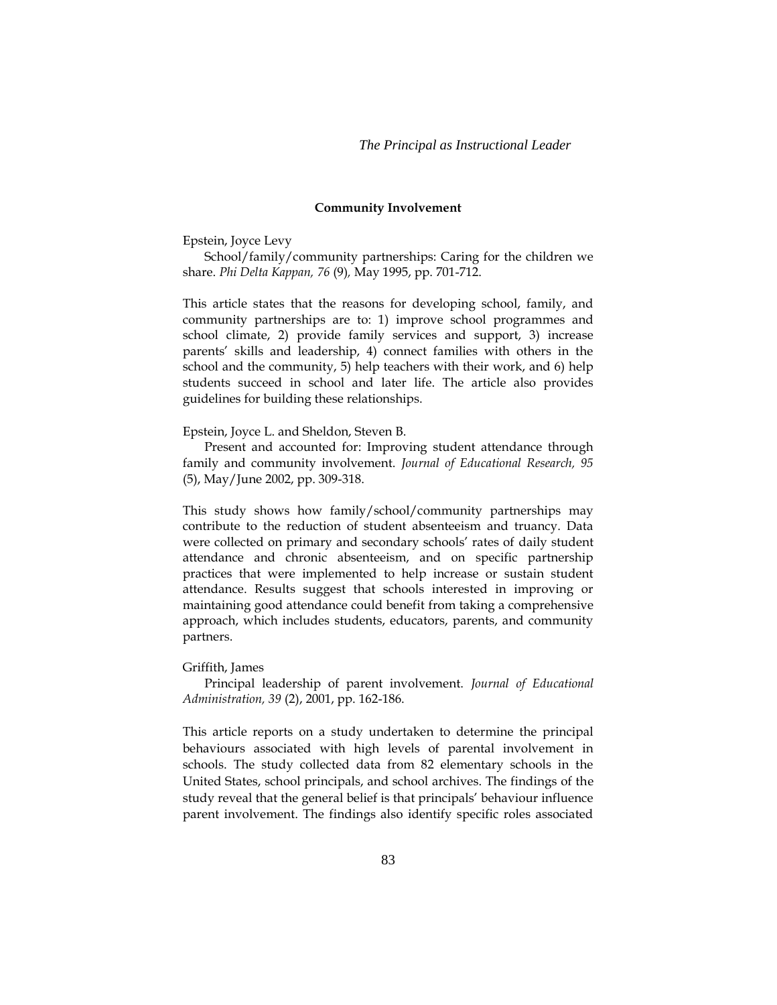#### **Community Involvement**

Epstein, Joyce Levy

School/family/community partnerships: Caring for the children we share. *Phi Delta Kappan, 76* (9)*,* May 1995, pp. 701-712.

This article states that the reasons for developing school, family, and community partnerships are to: 1) improve school programmes and school climate, 2) provide family services and support, 3) increase parents' skills and leadership, 4) connect families with others in the school and the community, 5) help teachers with their work, and 6) help students succeed in school and later life. The article also provides guidelines for building these relationships.

#### Epstein, Joyce L. and Sheldon, Steven B.

Present and accounted for: Improving student attendance through family and community involvement. *Journal of Educational Research, 95* (5), May/June 2002, pp. 309-318.

This study shows how family/school/community partnerships may contribute to the reduction of student absenteeism and truancy. Data were collected on primary and secondary schools' rates of daily student attendance and chronic absenteeism, and on specific partnership practices that were implemented to help increase or sustain student attendance. Results suggest that schools interested in improving or maintaining good attendance could benefit from taking a comprehensive approach, which includes students, educators, parents, and community partners.

#### Griffith, James

Principal leadership of parent involvement. *Journal of Educational Administration, 39* (2), 2001, pp. 162-186.

This article reports on a study undertaken to determine the principal behaviours associated with high levels of parental involvement in schools. The study collected data from 82 elementary schools in the United States, school principals, and school archives. The findings of the study reveal that the general belief is that principals' behaviour influence parent involvement. The findings also identify specific roles associated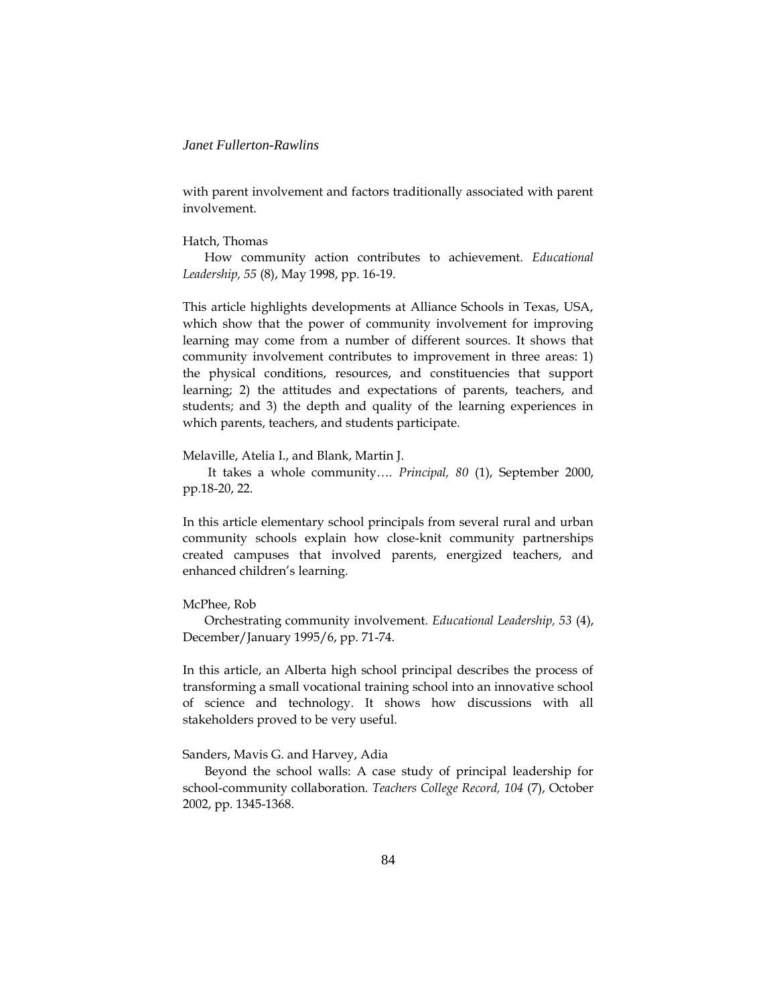with parent involvement and factors traditionally associated with parent involvement.

### Hatch, Thomas

How community action contributes to achievement. *Educational Leadership, 55* (8), May 1998, pp. 16-19.

This article highlights developments at Alliance Schools in Texas, USA, which show that the power of community involvement for improving learning may come from a number of different sources. It shows that community involvement contributes to improvement in three areas: 1) the physical conditions, resources, and constituencies that support learning; 2) the attitudes and expectations of parents, teachers, and students; and 3) the depth and quality of the learning experiences in which parents, teachers, and students participate.

#### Melaville, Atelia I., and Blank, Martin J.

It takes a whole community…. *Principal, 80* (1), September 2000, pp.18-20, 22.

In this article elementary school principals from several rural and urban community schools explain how close-knit community partnerships created campuses that involved parents, energized teachers, and enhanced children's learning.

### McPhee, Rob

Orchestrating community involvement. *Educational Leadership, 53* (4), December/January 1995/6, pp. 71-74.

In this article, an Alberta high school principal describes the process of transforming a small vocational training school into an innovative school of science and technology. It shows how discussions with all stakeholders proved to be very useful.

### Sanders, Mavis G. and Harvey, Adia

Beyond the school walls: A case study of principal leadership for school-community collaboration. *Teachers College Record, 104* (7), October 2002, pp. 1345-1368.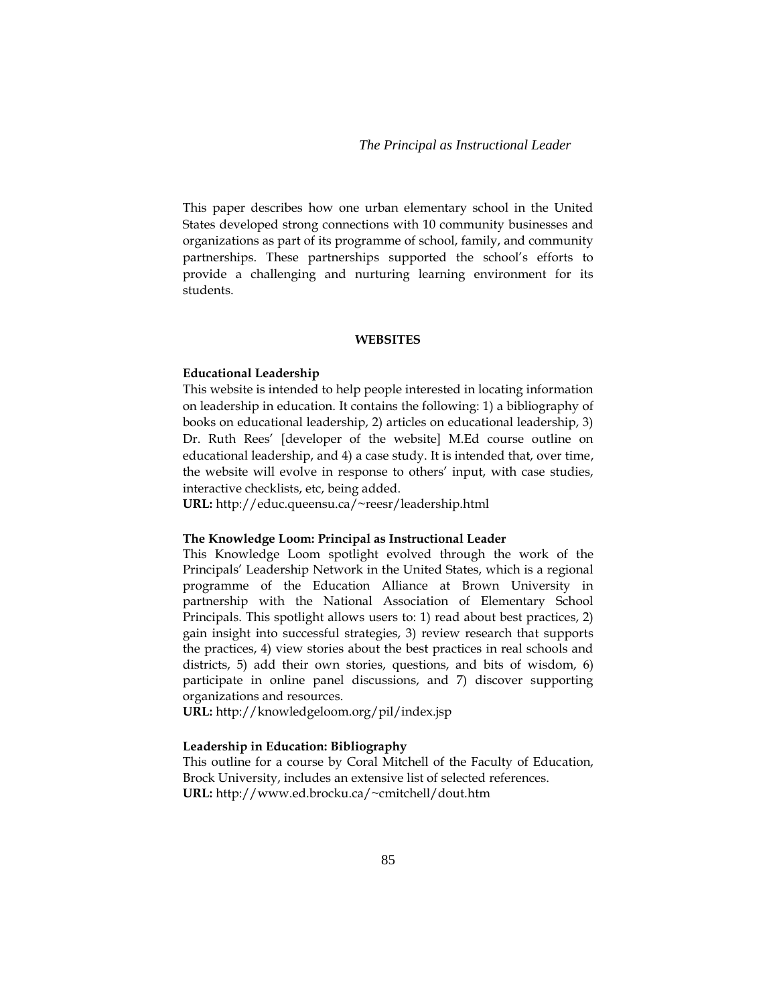This paper describes how one urban elementary school in the United States developed strong connections with 10 community businesses and organizations as part of its programme of school, family, and community partnerships. These partnerships supported the school's efforts to provide a challenging and nurturing learning environment for its students.

#### **WEBSITES**

#### **Educational Leadership**

This website is intended to help people interested in locating information on leadership in education. It contains the following: 1) a bibliography of books on educational leadership, 2) articles on educational leadership, 3) Dr. Ruth Rees' [developer of the website] M.Ed course outline on educational leadership, and 4) a case study. It is intended that, over time, the website will evolve in response to others' input, with case studies, interactive checklists, etc, being added.

**URL:** http://educ.queensu.ca/~reesr/leadership.html

#### **The Knowledge Loom: Principal as Instructional Leader**

This Knowledge Loom spotlight evolved through the work of the Principals' Leadership Network in the United States, which is a regional programme of the Education Alliance at Brown University in partnership with the National Association of Elementary School Principals. This spotlight allows users to: 1) read about best practices, 2) gain insight into successful strategies, 3) review research that supports the practices, 4) view stories about the best practices in real schools and districts, 5) add their own stories, questions, and bits of wisdom, 6) participate in online panel discussions, and 7) discover supporting organizations and resources.

**URL:** http://knowledgeloom.org/pil/index.jsp

### **Leadership in Education: Bibliography**

This outline for a course by Coral Mitchell of the Faculty of Education, Brock University, includes an extensive list of selected references. **URL:** http://www.ed.brocku.ca/~cmitchell/dout.htm